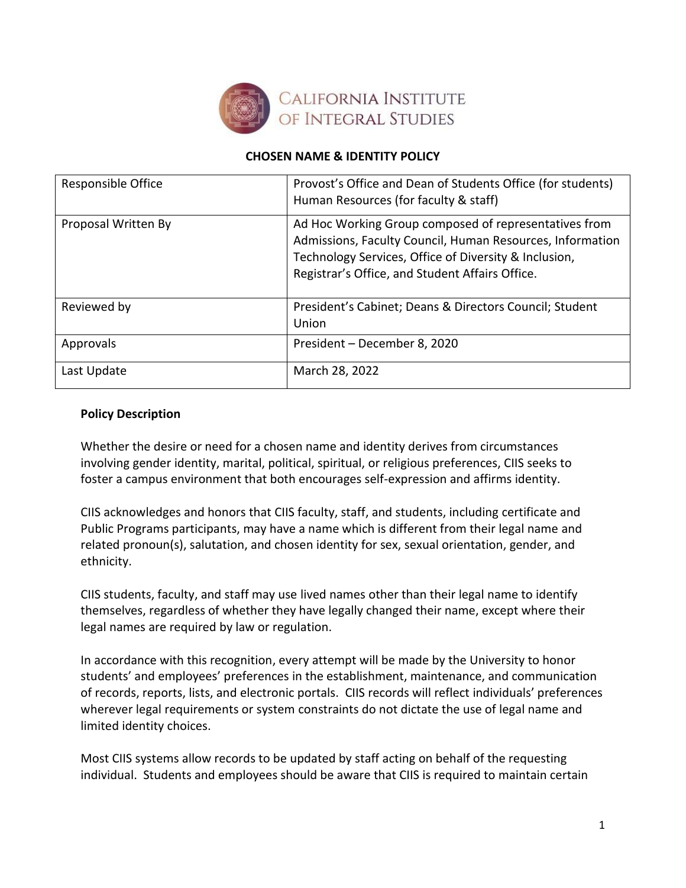

#### **CHOSEN NAME & IDENTITY POLICY**

| Responsible Office  | Provost's Office and Dean of Students Office (for students)<br>Human Resources (for faculty & staff)                                                                                                                           |
|---------------------|--------------------------------------------------------------------------------------------------------------------------------------------------------------------------------------------------------------------------------|
| Proposal Written By | Ad Hoc Working Group composed of representatives from<br>Admissions, Faculty Council, Human Resources, Information<br>Technology Services, Office of Diversity & Inclusion,<br>Registrar's Office, and Student Affairs Office. |
| Reviewed by         | President's Cabinet; Deans & Directors Council; Student<br>Union                                                                                                                                                               |
| Approvals           | President - December 8, 2020                                                                                                                                                                                                   |
| Last Update         | March 28, 2022                                                                                                                                                                                                                 |

#### **Policy Description**

Whether the desire or need for a chosen name and identity derives from circumstances involving gender identity, marital, political, spiritual, or religious preferences, CIIS seeks to foster a campus environment that both encourages self-expression and affirms identity.

CIIS acknowledges and honors that CIIS faculty, staff, and students, including certificate and Public Programs participants, may have a name which is different from their legal name and related pronoun(s), salutation, and chosen identity for sex, sexual orientation, gender, and ethnicity.

CIIS students, faculty, and staff may use lived names other than their legal name to identify themselves, regardless of whether they have legally changed their name, except where their legal names are required by law or regulation.

In accordance with this recognition, every attempt will be made by the University to honor students' and employees' preferences in the establishment, maintenance, and communication of records, reports, lists, and electronic portals. CIIS records will reflect individuals' preferences wherever legal requirements or system constraints do not dictate the use of legal name and limited identity choices.

Most CIIS systems allow records to be updated by staff acting on behalf of the requesting individual. Students and employees should be aware that CIIS is required to maintain certain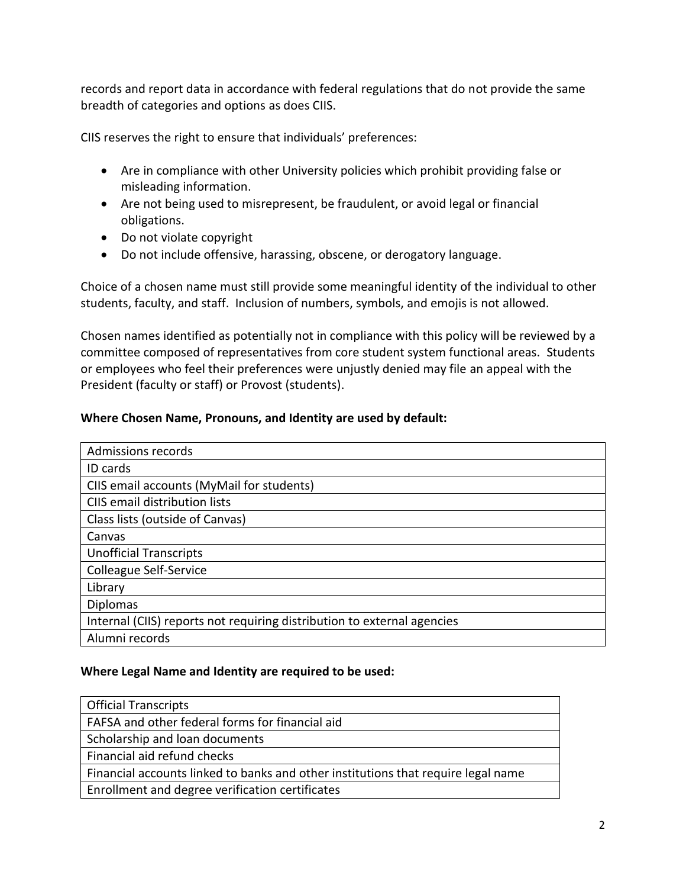records and report data in accordance with federal regulations that do not provide the same breadth of categories and options as does CIIS.

CIIS reserves the right to ensure that individuals' preferences:

- Are in compliance with other University policies which prohibit providing false or misleading information.
- Are not being used to misrepresent, be fraudulent, or avoid legal or financial obligations.
- Do not violate copyright
- Do not include offensive, harassing, obscene, or derogatory language.

Choice of a chosen name must still provide some meaningful identity of the individual to other students, faculty, and staff. Inclusion of numbers, symbols, and emojis is not allowed.

Chosen names identified as potentially not in compliance with this policy will be reviewed by a committee composed of representatives from core student system functional areas. Students or employees who feel their preferences were unjustly denied may file an appeal with the President (faculty or staff) or Provost (students).

### **Where Chosen Name, Pronouns, and Identity are used by default:**

| Admissions records                                                      |  |
|-------------------------------------------------------------------------|--|
| <b>ID</b> cards                                                         |  |
| CIIS email accounts (MyMail for students)                               |  |
| CIIS email distribution lists                                           |  |
| Class lists (outside of Canvas)                                         |  |
| Canvas                                                                  |  |
| <b>Unofficial Transcripts</b>                                           |  |
| <b>Colleague Self-Service</b>                                           |  |
| Library                                                                 |  |
| <b>Diplomas</b>                                                         |  |
| Internal (CIIS) reports not requiring distribution to external agencies |  |
| Alumni records                                                          |  |

### **Where Legal Name and Identity are required to be used:**

| <b>Official Transcripts</b>                                                       |
|-----------------------------------------------------------------------------------|
| FAFSA and other federal forms for financial aid                                   |
| Scholarship and loan documents                                                    |
| Financial aid refund checks                                                       |
| Financial accounts linked to banks and other institutions that require legal name |
| Enrollment and degree verification certificates                                   |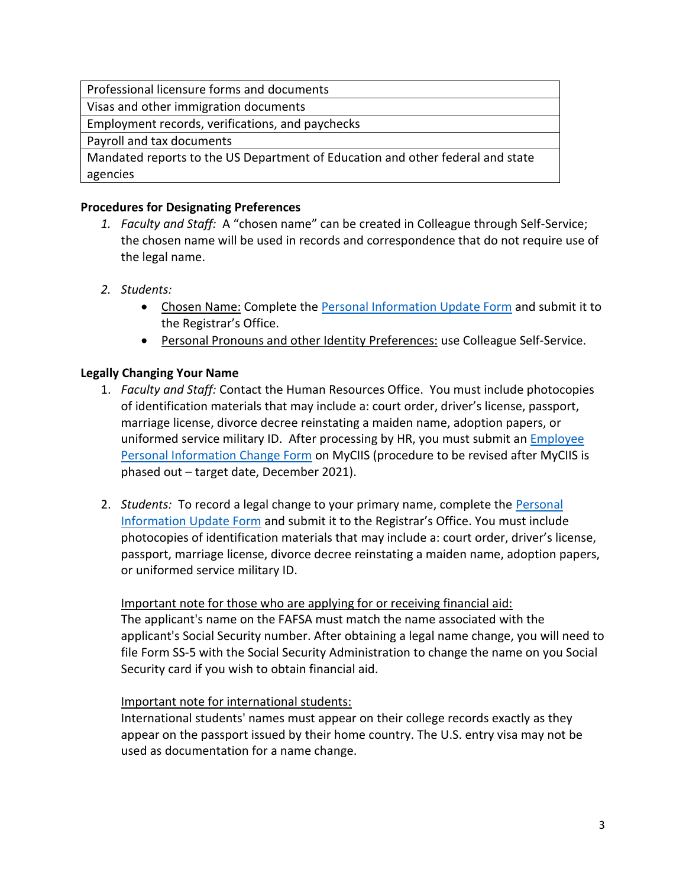Visas and other immigration documents

Employment records, verifications, and paychecks

Payroll and tax documents

Mandated reports to the US Department of Education and other federal and state agencies

# **Procedures for Designating Preferences**

- *1. Faculty and Staff:* A "chosen name" can be created in Colleague through Self-Service; the chosen name will be used in records and correspondence that do not require use of the legal name.
- *2. Students:*
	- Chosen Name: Complete th[e Personal Information Update Form](https://my.ciis.edu/ICS/icsfs/Personal_Information_Update_Form.pdf?target=8c6a549e-da3f-4afa-a603-468d70b48f2b) and submit it to the Registrar's Office.
	- Personal Pronouns and other Identity Preferences: use Colleague Self-Service.

# **Legally Changing Your Name**

- 1. *Faculty and Staff:* Contact the Human Resources Office. You must include photocopies of identification materials that may include a: court order, driver's license, passport, marriage license, divorce decree reinstating a maiden name, adoption papers, or uniformed service military ID. After processing by HR, you must submit an **Employee** [Personal Information Change Form](https://my.ciis.edu/ICS/Administrative/Departments/Human_Resources/Employee_Personal_Info_Change_Form.jnz) on MyCIIS (procedure to be revised after MyCIIS is phased out – target date, December 2021).
- 2. *Students:* To record a legal change to your primary name, complete the [Personal](https://my.ciis.edu/ICS/icsfs/Personal_Information_Update_Form.pdf?target=0dcc4c54-9d75-4f26-b8a5-2efe6c84cc13)  [Information Update Form](https://my.ciis.edu/ICS/icsfs/Personal_Information_Update_Form.pdf?target=0dcc4c54-9d75-4f26-b8a5-2efe6c84cc13) and submit it to the Registrar's Office. You must include photocopies of identification materials that may include a: court order, driver's license, passport, marriage license, divorce decree reinstating a maiden name, adoption papers, or uniformed service military ID.

### Important note for those who are applying for or receiving financial aid: The applicant's name on the FAFSA must match the name associated with the applicant's Social Security number. After obtaining a legal name change, you will need to file Form SS-5 with the Social Security Administration to change the name on you Social Security card if you wish to obtain financial aid.

### Important note for international students:

International students' names must appear on their college records exactly as they appear on the passport issued by their home country. The U.S. entry visa may not be used as documentation for a name change.